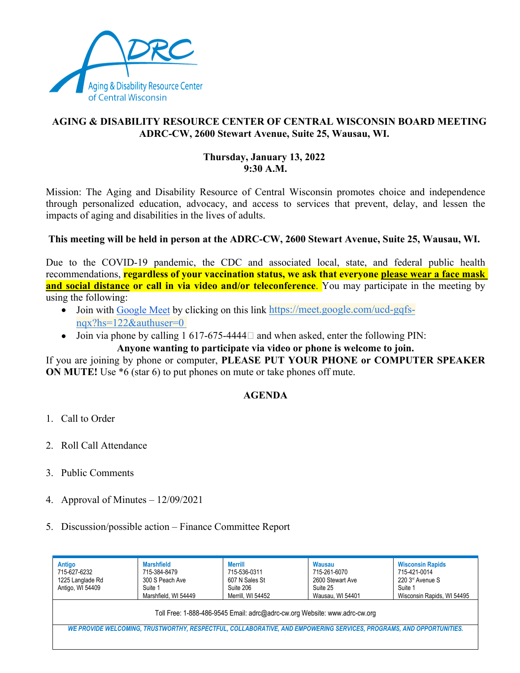

# **AGING & DISABILITY RESOURCE CENTER OF CENTRAL WISCONSIN BOARD MEETING ADRC-CW, 2600 Stewart Avenue, Suite 25, Wausau, WI.**

### **Thursday, January 13, 2022 9:30 A.M.**

Mission: The Aging and Disability Resource of Central Wisconsin promotes choice and independence through personalized education, advocacy, and access to services that prevent, delay, and lessen the impacts of aging and disabilities in the lives of adults.

## **This meeting will be held in person at the ADRC-CW, 2600 Stewart Avenue, Suite 25, Wausau, WI.**

Due to the COVID-19 pandemic, the CDC and associated local, state, and federal public health recommendations, **regardless of your vaccination status, we ask that everyone please wear a face mask and social distance or call in via video and/or teleconference.** You may participate in the meeting by using the following:

- Join with Google Meet by clicking on this link https://meet.google.com/ucd-gqfsnqx?hs=122&authuser=0
- Join via phone by calling 1 617-675-4444 $\Box$  and when asked, enter the following PIN:

## **Anyone wanting to participate via video or phone is welcome to join.**

If you are joining by phone or computer, **PLEASE PUT YOUR PHONE or COMPUTER SPEAKER ON MUTE!** Use  $*6$  (star 6) to put phones on mute or take phones off mute.

## **AGENDA**

- 1. Call to Order
- 2. Roll Call Attendance
- 3. Public Comments
- 4. Approval of Minutes 12/09/2021
- 5. Discussion/possible action Finance Committee Report

| Antigo<br>715-627-6232<br>1225 Langlade Rd<br>Antigo, WI 54409 | <b>Marshfield</b><br>715-384-8479<br>300 S Peach Ave<br>Suite 1<br>Marshfield, WI 54449                             | <b>Merrill</b><br>715-536-0311<br>607 N Sales St<br>Suite 206<br>Merrill. WI 54452 | Wausau<br>715-261-6070<br>2600 Stewart Ave<br>Suite 25<br>Wausau, WI 54401 | <b>Wisconsin Rapids</b><br>715-421-0014<br>220 3 <sup>rd</sup> Avenue S<br>Suite 1<br>Wisconsin Rapids, WI 54495 |
|----------------------------------------------------------------|---------------------------------------------------------------------------------------------------------------------|------------------------------------------------------------------------------------|----------------------------------------------------------------------------|------------------------------------------------------------------------------------------------------------------|
|                                                                |                                                                                                                     | Toll Free: 1-888-486-9545 Email: adrc@adrc-cw.org Website: www.adrc-cw.org         |                                                                            |                                                                                                                  |
|                                                                | WE PROVIDE WELCOMING, TRUSTWORTHY, RESPECTFUL, COLLABORATIVE, AND EMPOWERING SERVICES, PROGRAMS, AND OPPORTUNITIES. |                                                                                    |                                                                            |                                                                                                                  |